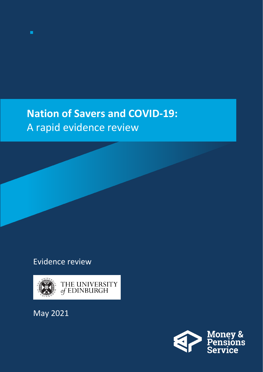### **Nation of Savers and COVID-19:**  A rapid evidence review

### Evidence review



May 2021

◼

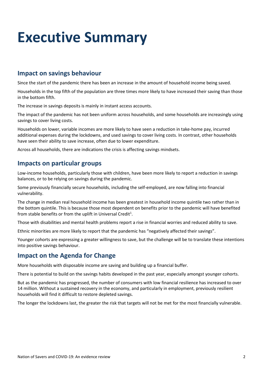### **Executive Summary**

#### **Impact on savings behaviour**

Since the start of the pandemic there has been an increase in the amount of household income being saved.

Households in the top fifth of the population are three times more likely to have increased their saving than those in the bottom fifth.

The increase in savings deposits is mainly in instant access accounts.

The impact of the pandemic has not been uniform across households, and some households are increasingly using savings to cover living costs.

Households on lower, variable incomes are more likely to have seen a reduction in take-home pay, incurred additional expenses during the lockdowns, and used savings to cover living costs. In contrast, other households have seen their ability to save increase, often due to lower expenditure.

Across all households, there are indications the crisis is affecting savings mindsets.

#### **Impacts on particular groups**

Low-income households, particularly those with children, have been more likely to report a reduction in savings balances, or to be relying on savings during the pandemic.

Some previously financially secure households, including the self-employed, are now falling into financial vulnerability.

The change in median real household income has been greatest in household income quintile two rather than in the bottom quintile. This is because those most dependent on benefits prior to the pandemic will have benefited from stable benefits or from the uplift in Universal Credit<sup>1</sup>.

Those with disabilities and mental health problems report a rise in financial worries and reduced ability to save.

Ethnic minorities are more likely to report that the pandemic has "negatively affected their savings".

Younger cohorts are expressing a greater willingness to save, but the challenge will be to translate these intentions into positive savings behaviour.

#### **Impact on the Agenda for Change**

More households with disposable income are saving and building up a financial buffer.

There is potential to build on the savings habits developed in the past year, especially amongst younger cohorts.

But as the pandemic has progressed, the number of consumers with low financial resilience has increased to over 14 million. Without a sustained recovery in the economy, and particularly in employment, previously resilient households will find it difficult to restore depleted savings.

The longer the lockdowns last, the greater the risk that targets will not be met for the most financially vulnerable.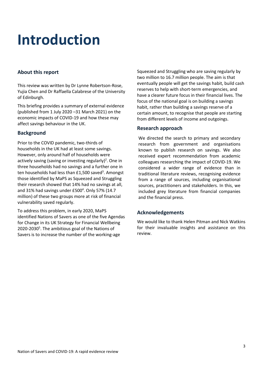## **Introduction**

#### **About this report**

This review was written by Dr Lynne Robertson-Rose, Yujia Chen and Dr Raffaella Calabrese of the University of Edinburgh.

This briefing provides a summary of external evidence (published from 1 July 2020 –31 March 2021) on the economic impacts of COVID-19 and how these may affect savings behaviour in the UK.

#### **Background**

Prior to the COVID pandemic, two-thirds of households in the UK had at least some savings. However, only around half of households were actively saving (saving or investing regularly)<sup>2</sup>. One in three households had no savings and a further one in ten households had less than £1,500 saved<sup>3</sup>. Amongst those identified by MaPS as Squeezed and Struggling their research showed that 14% had no savings at all, and 31% had savings under £500<sup>4</sup>. Only 57% (14.7 million) of these two groups more at risk of financial vulnerability saved regularly.

To address this problem, in early 2020, MaPS identified Nations of Savers as one of the five Agendas for Change in its UK Strategy for Financial Wellbeing 2020-2030<sup>5</sup>. The ambitious goal of the Nations of Savers is to increase the number of the working-age

Squeezed and Struggling who are saving regularly by two million to 16.7 million people. The aim is that eventually people will get the savings habit, build cash reserves to help with short-term emergencies, and have a clearer future focus in their financial lives. The focus of the national goal is on building a savings habit, rather than building a savings reserve of a certain amount, to recognise that people are starting from different levels of income and outgoings.

#### **Research approach**

We directed the search to primary and secondary research from government and organisations known to publish research on savings. We also received expert recommendation from academic colleagues researching the impact of COVID-19. We considered a wider range of evidence than in traditional literature reviews, recognising evidence from a range of sources, including organisational sources, practitioners and stakeholders. In this, we included grey literature from financial companies and the financial press.

#### **Acknowledgements**

We would like to thank Helen Pitman and Nick Watkins for their invaluable insights and assistance on this review.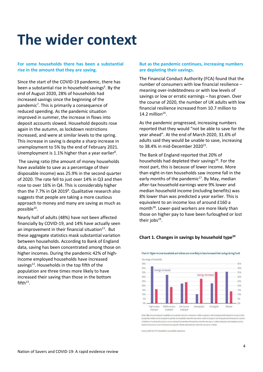### **The wider context**

#### **For some households there has been a substantial rise in the amount that they are saving.**

Since the start of the COVID-19 pandemic, there has been a substantial rise in household savings<sup>6</sup>. By the end of August 2020, 28% of households had increased savings since the beginning of the pandemic<sup>7</sup>. This is primarily a consequence of reduced spending. As the pandemic situation improved in summer, the increase in flows into deposit accounts slowed. Household deposits rose again in the autumn, as lockdown restrictions increased, and were at similar levels to the spring. This increase in saving is despite a sharp increase in unemployment to 5% by the end of February 2021. Unemployment is 1.1% higher than a year earlier<sup>8</sup>.

The saving ratio (the amount of money households have available to save as a percentage of their disposable income) was 25.9% in the second quarter of 2020. The rate fell to just over 14% in Q3 and then rose to over 16% in Q4. This is considerably higher than the 7.7% in Q4 2019<sup>9</sup>. Qualitative research also suggests that people are taking a more cautious approach to money and many are saving as much as possible<sup>10</sup>.

Nearly half of adults (48%) have not been affected financially by COVID-19, and 14% have actually seen an improvement in their financial situation $^{11}$ . But these aggregate statistics mask substantial variation between households. According to Bank of England data, saving has been concentrated among those on higher incomes. During the pandemic 42% of highincome employed households have increased savings<sup>12</sup>. Households in the top fifth of the population are three times more likely to have increased their saving than those in the bottom fifth $^{13}$ .

#### **But as the pandemic continues, increasing numbers are depleting their savings.**

The Financial Conduct Authority (FCA) found that the number of consumers with low financial resilience – meaning over-indebtedness or with low levels of savings or low or erratic earnings – has grown. Over the course of 2020, the number of UK adults with low financial resilience increased from 10.7 million to 14.2 million $14$ .

As the pandemic progressed, increasing numbers reported that they would "not be able to save for the year ahead". At the end of March 2020, 31.6% of adults said they would be unable to save, increasing to 38.4% in mid-December 2020 $^{15}$ .

The Bank of England reported that 20% of households had depleted their savings<sup>16</sup>. For the most part, this is because of lower income. More than eight-in-ten households saw income fall in the early months of the pandemic<sup>17</sup>. By May, median after-tax household earnings were 9% lower and median household income (including benefits) was 8% lower than was predicted a year earlier. This is equivalent to an income loss of around £160 a month<sup>18</sup>. Lower-paid workers are more likely than those on higher pay to have been furloughed or lost their jobs $^{19}$ .

#### **Chart 1. Changes in savings by household type20**



Chart A: Higher-income households and retirees are more likely to have increased their savings during Covid

Sources: 2020 H2 NMG Household Survey and Bank calculations

Notes: High-income employed households are households where the main earner is either employed or self-employed and the household income is in the top quintile, middle-income employed households are households where the main earner is either employed or self-employed and the household income is in the third or fourth quintile, and low-income employed households are households where the main earner is either employed or self-employed and the scome is in one of the bottom two quintiles. Retirees are households where the main ea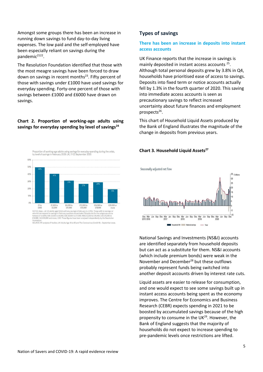Amongst some groups there has been an increase in running down savings to fund day-to-day living expenses. The low paid and the self-employed have been especially reliant on savings during the pandemic<sup>2122</sup>.

The Resolution Foundation identified that those with the most meagre savings have been forced to draw down on savings in recent months<sup>23</sup>. Fifty percent of those with savings under £1000 have used savings for everyday spending. Forty-one percent of those with savings between £1000 and £6000 have drawn on savings.

#### **Chart 2. Proportion of working-age adults using savings for everyday spending by level of savings<sup>24</sup>**



SOURCE: RF analysis of YouGov, UK Adults Age 18 to 65 and The Coronavirus (Covid-19) - September wave

**Types of savings**

#### **There has been an increase in deposits into instant access accounts**

UK Finance reports that the increase in savings is mainly deposited in instant access accounts <sup>25</sup>. Although total personal deposits grew by 3.8% in Q4, households have prioritised ease of access to savings. Deposits into fixed term or notice accounts actually fell by 1.3% in the fourth quarter of 2020. This saving into immediate access accounts is seen as precautionary savings to reflect increased uncertainty about future finances and employment prospects<sup>26</sup>.

This chart of Household Liquid Assets produced by the Bank of England illustrates the magnitude of the change in deposits from previous years.





National Savings and Investments (NS&I) accounts are identified separately from household deposits but can act as a substitute for them. NS&I accounts (which include premium bonds) were weak in the November and December<sup>28</sup> but these outflows probably represent funds being switched into another deposit accounts driven by interest rate cuts.

Liquid assets are easier to release for consumption, and one would expect to see some savings built up in instant access accounts being spent as the economy improves. The Centre for Economics and Business Research (CEBR) expects spending in 2021 to be boosted by accumulated savings because of the high propensity to consume in the UK<sup>29</sup>. However, the Bank of England suggests that the majority of households do not expect to increase spending to pre-pandemic levels once restrictions are lifted.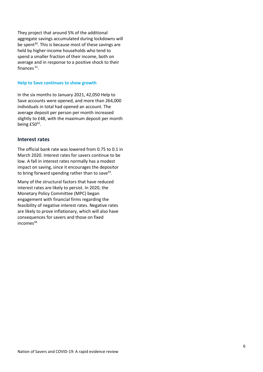They project that around 5% of the additional aggregate savings accumulated during lockdowns will be spent<sup>30</sup>. This is because most of these savings are held by higher-income households who tend to spend a smaller fraction of their income, both on average and in response to a positive shock to their finances<sup>31</sup>.

#### **Help to Save continues to show growth**

In the six months to January 2021, 42,050 Help to Save accounts were opened, and more than 264,000 individuals in total had opened an account. The average deposit per person per month increased slightly to £48, with the maximum deposit per month being  $£50<sup>32</sup>$ .

#### **Interest rates**

The official bank rate was lowered from 0.75 to 0.1 in March 2020. Interest rates for savers continue to be low. A fall in interest rates normally has a modest impact on saving, since it encourages the depositor to bring forward spending rather than to save<sup>33</sup>.

Many of the structural factors that have reduced interest rates are likely to persist. In 2020, the Monetary Policy Committee (MPC) began engagement with financial firms regarding the feasibility of negative interest rates. Negative rates are likely to prove inflationary, which will also have consequences for savers and those on fixed incomes<sup>34.</sup>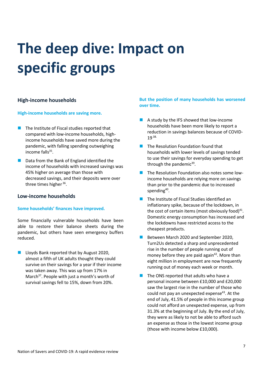# **The deep dive: Impact on specific groups**

#### **High-income households**

#### **High-income households are saving more.**

- The Institute of Fiscal studies reported that compared with low-income households, highincome households have saved more during the pandemic, with falling spending outweighing income falls<sup>35</sup>.
- Data from the Bank of England identified the income of households with increased savings was 45% higher on average than those with decreased savings, and their deposits were over three times higher <sup>36</sup>.

#### **Low-income households**

#### **Some households' finances have improved.**

Some financially vulnerable households have been able to restore their balance sheets during the pandemic, but others have seen emergency buffers reduced.

■ Lloyds Bank reported that by August 2020, almost a fifth of UK adults thought they could survive on their savings for a year if their income was taken away. This was up from 17% in March<sup>37</sup>. People with just a month's worth of survival savings fell to 15%, down from 20%.

#### **But the position of many households has worsened over time.**

- ◼ A study by the IFS showed that low-income households have been more likely to report a reduction in savings balances because of COVID-19 38.
- The Resolution Foundation found that households with lower levels of savings tended to use their savings for everyday spending to get through the pandemic<sup>39</sup>.
- The Resolution Foundation also notes some lowincome households are relying more on savings than prior to the pandemic due to increased spending<sup>40</sup>.
- The Institute of Fiscal Studies identified an inflationary spike, because of the lockdown, in the cost of certain items (most obviously food) $41$ . Domestic energy consumption has increased and the lockdowns have restricted access to the cheapest products.
- Between March 2020 and September 2020, Turn2Us detected a sharp and unprecedented rise in the number of people running out of money before they are paid again $42$ . More than eight million in employment are now frequently running out of money each week or month.
- The ONS reported that adults who have a personal income between £10,000 and £20,000 saw the largest rise in the number of those who could not pay an unexpected expense<sup>43</sup>. At the end of July, 41.5% of people in this income group could not afford an unexpected expense, up from 31.3% at the beginning of July. By the end of July, they were as likely to not be able to afford such an expense as those in the lowest income group (those with income below £10,000).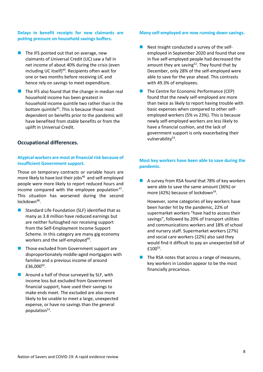#### **Delays in benefit receipts for new claimants are putting pressure on household savings buffers.**

- $\blacksquare$  The IFS pointed out that on average, new claimants of Universal Credit (UC) saw a fall in net income of about 40% during the crisis (even including UC itself)<sup>44</sup>. Recipients often wait for one or two months before receiving UC and hence rely on savings to meet expenditure.
- The IFS also found that the change in median real household income has been greatest in household income quintile two rather than in the bottom quintile<sup>45</sup>. This is because those most dependent on benefits prior to the pandemic will have benefited from stable benefits or from the uplift in Universal Credit.

#### **Occupational differences.**

#### **Atypical workers are most at financial risk because of insufficient Government support.**

Those on temporary contracts or variable hours are more likely to have lost their jobs $46$  and self-employed people were more likely to report reduced hours and income compared with the employee population $47$ . This situation has worsened during the second lockdown<sup>48</sup>.

- Standard Life Foundation (SLF) identified that as many as 3.8 million have reduced earnings but are neither furloughed nor receiving support from the Self-Employment Income Support Scheme. In this category are many gig economy workers and the self-employed<sup>49</sup>.
- Those excluded from Government support are disproportionately middle-aged mortgagors with families and a previous income of around £36,000<sup>50</sup>.
- $\blacksquare$  Around a half of those surveyed by SLF, with income loss but excluded from Government financial support, have used their savings to make ends meet. The excluded are also more likely to be unable to meet a large, unexpected expense, or have no savings than the general population<sup>51</sup>.

#### **Many self-employed are now running down savings.**

- Nest Insight conducted a survey of the selfemployed in September 2020 and found that one in five self-employed people had decreased the amount they are saving<sup>52</sup>. They found that by December, only 28% of the self-employed were able to save for the year ahead. This contrasts with 49.3% of employees.
- The Centre for Economic Performance (CEP) found that the newly self-employed are more than twice as likely to report having trouble with basic expenses when compared to other selfemployed workers (5% vs 23%). This is because newly self-employed workers are less likely to have a financial cushion, and the lack of government support is only exacerbating their vulnerability<sup>53</sup>.

#### **Most key workers have been able to save during the pandemic.**

■ A survey from RSA found that 78% of key workers were able to save the same amount (36%) or more (42%) because of lockdown<sup>54</sup>.

However, some categories of key workers have been harder hit by the pandemic, 22% of supermarket workers "have had to access their savings", followed by 20% of transport utilities and communications workers and 18% of school and nursery staff. Supermarket workers (27%) and social care workers (22%) also said they would find it difficult to pay an unexpected bill of £100 $55$ .

The RSA notes that across a range of measures, key workers in London appear to be the most financially precarious.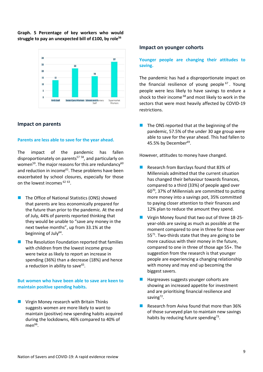#### **Graph. 5 Percentage of key workers who would struggle to pay an unexpected bill of £100, by role<sup>56</sup>**



#### **Impact on parents**

#### **Parents are less able to save for the year ahead.**

The impact of the pandemic has fallen disproportionately on parents<sup>57 58</sup>, and particularly on women $^{59}$ . The major reasons for this are redundancy $^{60}$ and reduction in income<sup>61</sup>. These problems have been exacerbated by school closures, especially for those on the lowest incomes <sup>62 63</sup>.

- The Office of National Statistics (ONS) showed that parents are less economically prepared for the future than prior to the pandemic. At the end of July, 44% of parents reported thinking that they would be unable to "save any money in the next twelve months", up from 33.1% at the beginning of July<sup>64</sup>.
- The Resolution Foundation reported that families with children from the lowest income group were twice as likely to report an increase in spending (36%) than a decrease (18%) and hence a reduction in ability to save<sup>65</sup>.

#### **But women who have been able to save are keen to maintain positive spending habits.**

Virgin Money research with Britain Thinks suggests women are more likely to want to maintain (positive) new spending habits acquired during the lockdowns, 46% compared to 40% of  $men<sup>66</sup>$ .

#### **Impact on younger cohorts**

#### **Younger people are changing their attitudes to saving.**

The pandemic has had a disproportionate impact on the financial resilience of young people<sup>67</sup>. Young people were less likely to have savings to endure a shock to their income<sup>68</sup> and most likely to work in the sectors that were most heavily affected by COVID-19 restrictions.

 $\blacksquare$  The ONS reported that at the beginning of the pandemic, 57.5% of the under 30 age group were able to save for the year ahead. This had fallen to 45.5% by December 69 .

However, attitudes to money have changed.

- ◼ Research from Barclays found that 83% of Millennials admitted that the current situation has changed their behaviour towards finances, compared to a third (33%) of people aged over 60<sup>70</sup> , 37% of Millennials are committed to putting more money into a savings pot, 35% committed to paying closer attention to their finances and 12% plan to reduce the amount they spend.
- Virgin Money found that two out of three 18-25year-olds are saving as much as possible at the moment compared to one in three for those over  $55<sup>71</sup>$ . Two-thirds state that they are going to be more cautious with their money in the future, compared to one in three of those age 55+. The suggestion from the research is that younger people are experiencing a changing relationship with money and may end up becoming the biggest savers.
- ◼ Hargreaves suggests younger cohorts are showing an increased appetite for investment and are prioritising financial resilience and saving<sup>72</sup>.
- ◼ Research from Aviva found that more than 36% of those surveyed plan to maintain new savings habits by reducing future spending<sup>73</sup>.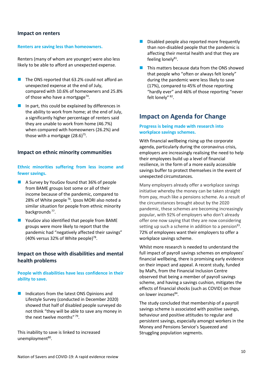#### **Impact on renters**

#### **Renters are saving less than homeowners.**

Renters (many of whom are younger) were also less likely to be able to afford an unexpected expense.

- The ONS reported that 63.2% could not afford an unexpected expense at the end of July, compared with 10.6% of homeowners and 25.8% of those who have a mortgage<sup>74</sup>.
- In part, this could be explained by differences in the ability to work from home; at the end of July, a significantly higher percentage of renters said they are unable to work from home (46.7%) when compared with homeowners (26.2%) and those with a mortgage (28.6)<sup>75</sup>.

#### **Impact on ethnic minority communities**

#### **Ethnic minorities suffering from less income and fewer savings.**

- ◼ A Survey by YouGov found that 36% of people from BAME groups lost some or all of their income because of the pandemic, compared to 28% of White people  $76$ . Ipsos MORI also noted a similar situation for people from ethnic minority backgrounds<sup>77</sup>.
- YouGov also identified that people from BAME groups were more likely to report that the pandemic had "negatively affected their savings"  $(40\%$  versus 32% of White people)<sup>78</sup>.

#### **Impact on those with disabilities and mental health problems**

#### **People with disabilities have less confidence in their ability to save.**

■ Indicators from the latest ONS Opinions and Lifestyle Survey (conducted in December 2020) showed that half of disabled people surveyed do not think "they will be able to save any money in the next twelve months" 79.

This inability to save is linked to increased unemployment<sup>80</sup>.

- Disabled people also reported more frequently than non-disabled people that the pandemic is affecting their mental health and that they are feeling lonely<sup>81</sup>.
- This matters because data from the ONS showed that people who "often or always felt lonely" during the pandemic were less likely to save (17%), compared to 45% of those reporting "hardly ever" and 46% of those reporting "never felt lonely" <sup>82</sup>.

#### **Impact on Agenda for Change**

#### **Progress is being made with research into workplace savings schemes.**

With financial wellbeing rising up the corporate agenda, particularly during the coronavirus crisis, employers are increasingly realising the need to help their employees build up a level of financial resilience, in the form of a more easily accessible savings buffer to protect themselves in the event of unexpected circumstances.

Many employers already offer a workplace savings initiative whereby the money can be taken straight from pay, much like a pensions scheme. As a result of the circumstances brought about by the 2020 pandemic, these schemes are becoming increasingly popular, with 92% of employers who don't already offer one now saying that they are now considering setting up such a scheme in addition to a pension<sup>83</sup>. 72% of employees want their employers to offer a workplace savings scheme.

Whilst more research is needed to understand the full impact of payroll savings schemes on employees' financial wellbeing, there is promising early evidence on their impact and appeal. A recent study, funded by MaPs, from the Financial Inclusion Centre observed that being a member of payroll savings scheme, and having a savings cushion, mitigates the effects of financial shocks (such as COVID) on those on lower incomes<sup>84</sup>.

The study concluded that membership of a payroll savings scheme is associated with positive savings, behaviour and positive attitudes to regular and persistent savings, especially amongst workers in the Money and Pensions Service's Squeezed and Struggling population segments.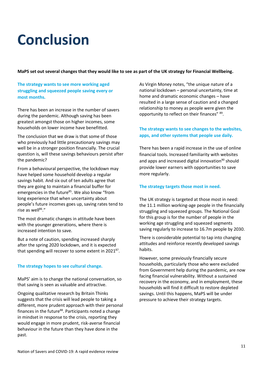### **Conclusion**

**MaPS set out several changes that they would like to see as part of the UK strategy for Financial Wellbeing.**

**The strategy wants to see more working aged struggling and squeezed people saving every or most months.**

There has been an increase in the number of savers during the pandemic. Although saving has been greatest amongst those on higher incomes, some households on lower income have benefitted.

The conclusion that we draw is that some of those who previously had little precautionary savings may well be in a stronger position financially. The crucial question is, will these savings behaviours persist after the pandemic?

From a behavioural perspective, the lockdown may have helped some household develop a regular savings habit. And six out of ten adults agree that they are going to maintain a financial buffer for emergencies in the future<sup>85</sup>. We also know "from long experience that when uncertainty about people's future incomes goes up, saving rates tend to rise as well $^{86}$ ."

The most dramatic changes in attitude have been with the younger generations, where there is increased intention to save.

But a note of caution, spending increased sharply after the spring 2020 lockdown, and it is expected that spending will recover to some extent in 2021 $^{87}$ .

#### **The strategy hopes to see cultural change.**

MaPS' aim is to change the national conversation, so that saving is seen as valuable and attractive.

Ongoing qualitative research by Britain Thinks suggests that the crisis will lead people to taking a different, more prudent approach with their personal finances in the future<sup>88</sup>. Participants noted a change in mindset in response to the crisis, reporting they would engage in more prudent, risk-averse financial behaviour in the future than they have done in the past.

As Virgin Money notes, "the unique nature of a national lockdown – personal uncertainty, time at home and dramatic economic changes – have resulted in a large sense of caution and a changed relationship to money as people were given the opportunity to reflect on their finances"  $^{89}$ .

#### **The strategy wants to see changes to the websites, apps, and other systems that people use daily.**

There has been a rapid increase in the use of online financial tools. Increased familiarity with websites and apps and increased digital innovation<sup>90</sup> should provide lower earners with opportunities to save more regularly.

#### **The strategy targets those most in need.**

The UK strategy is targeted at those most in need: the 11.1 million working-age people in the financially struggling and squeezed groups. The National Goal for this group is for the number of people in the working age struggling and squeezed segments saving regularly to increase to 16.7m people by 2030.

There is considerable potential to tap into changing attitudes and reinforce recently developed savings habits.

However, some previously financially secure households, particularly those who were excluded from Government help during the pandemic, are now facing financial vulnerability. Without a sustained recovery in the economy, and in employment, these households will find it difficult to restore depleted savings. Until this happens, MaPS will be under pressure to achieve their strategy targets.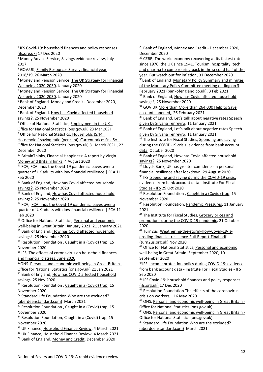<sup>3</sup> GOV.UK, Family Resources Survey: financial year [2018/19,](https://www.gov.uk/government/statistics/family-resources-survey-financial-year-201819) 26 March 2020 <sup>4</sup> Money and Pension Service, [The UK Strategy for Financial](https://moneyandpensionsservice.org.uk/wp-content/uploads/2020/01/UK-Strategy-for-Financial-Wellbeing-2020-2030-Money-and-Pensions-Service.pdf)  [Wellbeing 2020-2030,](https://moneyandpensionsservice.org.uk/wp-content/uploads/2020/01/UK-Strategy-for-Financial-Wellbeing-2020-2030-Money-and-Pensions-Service.pdf) January 2020 <sup>5</sup> Money and Pension Service, The [UK Strategy for Financial](https://moneyandpensionsservice.org.uk/wp-content/uploads/2020/01/UK-Strategy-for-Financial-Wellbeing-2020-2030-Money-and-Pensions-Service.pdf)  [Wellbeing 2020-2030,](https://moneyandpensionsservice.org.uk/wp-content/uploads/2020/01/UK-Strategy-for-Financial-Wellbeing-2020-2030-Money-and-Pensions-Service.pdf) January 2020 <sup>6</sup> Bank of England[, Money and Credit -](https://www.bankofengland.co.uk/statistics/money-and-credit/2020/december-2020) December 2020, December 2020  $<sup>7</sup>$  Bank of England, How has Covid affected household</sup> [savings?,](https://www.bankofengland.co.uk/bank-overground/2020/how-has-covid-affected-household-savings) 25 November 2020 <sup>8</sup> Office of National Statistics, **[Employment](https://www.ons.gov.uk/employmentandlabourmarket/peopleinwork/employmentandemployeetypes/bulletins/employmentintheuk/march2021) in the UK -**[Office for National Statistics \(ons.gov.uk\)](https://www.ons.gov.uk/employmentandlabourmarket/peopleinwork/employmentandemployeetypes/bulletins/employmentintheuk/march2021) 23 Mar 2021 <sup>9</sup> Office for National Statistics, Households (S.14): [Households' saving ratio \(per cent\): Current price: £m: SA -](https://www.ons.gov.uk/economy/grossdomesticproductgdp/timeseries/dgd8/ukea) [Office for National Statistics \(ons.gov.uk\)](https://www.ons.gov.uk/economy/grossdomesticproductgdp/timeseries/dgd8/ukea) 31 March 2021 , 22 December 2020 10 BritainThinks, Financial Happiness: A report by Virgin [Money and BritainThinks,](https://britainthinks.com/pdfs/Happiness_Report_Virgin_Money_BritainThinks_2020.pdf) 4 August 2020 <sup>11</sup> FCA, FCA finds the Covid-19 pandemic leaves over a [quarter of UK adults with low financial resilience | FCA](https://www.fca.org.uk/news/press-releases/fca-finds-covid-19-pandemic-leaves-over-quarter-uk-adults-low-financial-resilience) 11 Feb 2020 <sup>12</sup> Bank of England, How has Covid affected household [savings?,](https://www.bankofengland.co.uk/bank-overground/2020/how-has-covid-affected-household-savings) 25 November 2020 <sup>13</sup> Bank of England, How has Covid affected household [savings?,](https://www.bankofengland.co.uk/bank-overground/2020/how-has-covid-affected-household-savings) 25 November 2020 <sup>14</sup> FCA, FCA finds the Covid-19 pandemic leaves over a [quarter of UK adults with low financial resilience | FCA](https://www.fca.org.uk/news/press-releases/fca-finds-covid-19-pandemic-leaves-over-quarter-uk-adults-low-financial-resilience) 11 Feb 2020 <sup>15</sup> Office for National Statistics, Personal and economic [well-being in Great Britain: January 2021,](https://www.ons.gov.uk/peoplepopulationandcommunity/wellbeing/bulletins/personalandeconomicwellbeingintheuk/january2021) 21 January 2021 16 Bank of England, How has Covid affected household [savings?,](https://www.bankofengland.co.uk/bank-overground/2020/how-has-covid-affected-household-savings) 25 November 2020 <sup>17</sup> Resolution Foundation[, Caught in a \(Covid\) trap,](https://www.resolutionfoundation.org/publications/caught-in-a-covid-trap/) 15 November 2020 <sup>18</sup> IFS, [The effects of coronavirus on household finances](https://www.ifs.org.uk/uploads/BN298-FULL-The-effects-of-coronavirus-on-household-finances-and-financial-distress.pdf)  [and financial distress,](https://www.ifs.org.uk/uploads/BN298-FULL-The-effects-of-coronavirus-on-household-finances-and-financial-distress.pdf) June 2020 19ONS [Personal and economic well-being in Great Britain -](https://www.ons.gov.uk/peoplepopulationandcommunity/wellbeing/bulletins/personalandeconomicwellbeingintheuk/january2021) [Office for National Statistics \(ons.gov.uk\)](https://www.ons.gov.uk/peoplepopulationandcommunity/wellbeing/bulletins/personalandeconomicwellbeingintheuk/january2021) 21 Jan 2021 <sup>20</sup> Bank of England, How has COVID affected household [savings,](https://www.bankofengland.co.uk/bank-overground/2020/how-has-covid-affected-household-savings) 25 Nov 2020.  $\overline{21}$  Resolution Foundation[, Caught in a \(Covid\) trap,](https://www.resolutionfoundation.org/publications/caught-in-a-covid-trap/) 15 November 2020 <sup>22</sup> Standard Life Foundation Who are the excluded? [\(aberdeenstandard.com\)](https://www.aberdeenstandard.com/docs?documentId=GB-180221-142931-1) March 2021 <sup>23</sup> Resolution Foundation[, Caught in a \(Covid\) trap,](https://www.resolutionfoundation.org/publications/caught-in-a-covid-trap/) 15 November 2020

<sup>1</sup> IFS Covid-19: household finances and policy responses

<sup>2</sup> Money Advice Service, [Savings evidence review,](https://www.bristol.ac.uk/media-library/sites/geography/pfrc/pfrc1706-savings-evidence-review.pdf) July

[\(ifs.org.uk\)](https://www.ifs.org.uk/uploads/Presentations/Covid-19-household-finances-and-policy-responses.pdf) 17 Dec 2020

2017

 $24$  Resolution Foundation[, Caught in a \(Covid\) trap,](https://www.resolutionfoundation.org/app/uploads/2020/11/Caught-in-a-Covid-trap.pdf) 15 November 2020

<sup>25</sup> UK Finance[, Household Finance Review,](https://www.ukfinance.org.uk/data-and-research/data/household-finance/household-finance-review) 4 March 2021

<sup>26</sup> UK Finance[, Household Finance Review,](https://www.ukfinance.org.uk/data-and-research/data/household-finance/household-finance-review) 4 March 2021

<sup>27</sup> Bank of England[, Money and Credit,](https://www.bankofengland.co.uk/statistics/money-and-credit/2020/december-2020) December 2020

<sup>28</sup> Bank of England[, Money and Credit -](https://www.bankofengland.co.uk/statistics/money-and-credit/2020/december-2020) December 2020, December 2020

<sup>29</sup> CEBR, The world economy recovering at its fastest rate since 1976; the UK [since 1941. Tourism, hospitality, tech](https://cebr.com/reports/the-world-economy-recovering-at-its-fastest-rate-since-1976-the-uk-since-1941-tourism-hospitality-tech-and-pharma-to-come-roaring-back-in-the-second-half-of-the-year-but-watch-out-for-inflation/)  [and pharma to come roaring back in the second half of the](https://cebr.com/reports/the-world-economy-recovering-at-its-fastest-rate-since-1976-the-uk-since-1941-tourism-hospitality-tech-and-pharma-to-come-roaring-back-in-the-second-half-of-the-year-but-watch-out-for-inflation/)  [year. But watch out for inflation,](https://cebr.com/reports/the-world-economy-recovering-at-its-fastest-rate-since-1976-the-uk-since-1941-tourism-hospitality-tech-and-pharma-to-come-roaring-back-in-the-second-half-of-the-year-but-watch-out-for-inflation/) 31 December 2020

<sup>30</sup>Bank of England Monetary Policy Summary and minutes [of the Monetary Policy Committee meeting ending on 3](https://www.bankofengland.co.uk/-/media/boe/files/monetary-policy-summary-and-minutes/2021/february-2021.pdf)  [February 2021 \(bankofengland.co.uk\),](https://www.bankofengland.co.uk/-/media/boe/files/monetary-policy-summary-and-minutes/2021/february-2021.pdf) 3 Feb 2021

<sup>31</sup> Bank of England, How has Covid affected household [savings?,](https://www.bankofengland.co.uk/bank-overground/2020/how-has-covid-affected-household-savings) 25 November 2020

<sup>32</sup> GOV UK More than More than 264,000 Help to Save [accounts opened,](https://www.gov.uk/government/news/more-than-264000-help-to-save-accounts-opened#:~:text=More%20than%2042%2C000%20new%20Help,to%20apply%20via%20GOV.UK.&text=Of%20those%20depositing%20into%20their,as%20at%2031%20January%202021.) 26 February 2021

33 Bank of England, Let's talk about negative rates Speech [given by Silvana Tenreyro,](https://www.bankofengland.co.uk/speech/2021/january/silvana-tenreyro-lets-talk-about-negative-interest-rates) 11 January 2021

<sup>34</sup> Bank of England, Let's talk about negative rates Speech [given by Silvana Tenreyro,](https://www.bankofengland.co.uk/speech/2021/january/silvana-tenreyro-lets-talk-about-negative-interest-rates) 11 January 2021

<sup>35</sup> The Institute for Fiscal Studies, Spending and saving [during the COVID-19 crisis: evidence from bank account](https://www.aberdeenstandard.com/docs?documentId=GB-281020-132579-1)  [data,](https://www.aberdeenstandard.com/docs?documentId=GB-281020-132579-1) October 2020

36 Bank of England, How has Covid affected household [savings?,](https://www.bankofengland.co.uk/bank-overground/2020/how-has-covid-affected-household-savings) 25 November 2020

37 Lloyds Bank, UK has greater confidence in personal [financial resilience after lockdown,](https://www.lloydsbankinggroup.com/media/press-releases/2020/lloyds-bank/lloyds-bank-financial-shocks.html) 29 August 2020

<sup>38</sup> IFS Spending and saving during the COVID-19 crisis: [evidence from bank account data -](https://www.ifs.org.uk/publications/15146) Institute For Fiscal [Studies -](https://www.ifs.org.uk/publications/15146) IFS 29 Oct 2020

 $39$  Resolution Foundation[, Caught in a \(Covid\) trap,](https://www.resolutionfoundation.org/publications/caught-in-a-covid-trap/) 15 November 2020

<sup>40</sup> Resolution Foundation[, Pandemic Pressures,](https://www.resolutionfoundation.org/publications/pandemic-pressures/) 11 January 2021

<sup>41</sup> The Institute for Fiscal Studies, Grocery prices and [promotions during the COVID-19 pandemic,](https://www.ifs.org.uk/publications/15113) 21 October 2020

<sup>42</sup> Turn2us [Weathering-the-storm-How-Covid-19-is](https://www.turn2us.org.uk/T2UWebsite/media/Documents/Communications%20documents/Weathering-the-storm-How-Covid-19-is-eroding-financial-resilience-Full-Report-Final.pdf)[eroding-financial-resilience-Full-Report-Final.pdf](https://www.turn2us.org.uk/T2UWebsite/media/Documents/Communications%20documents/Weathering-the-storm-How-Covid-19-is-eroding-financial-resilience-Full-Report-Final.pdf)  [\(turn2us.org.uk\)](https://www.turn2us.org.uk/T2UWebsite/media/Documents/Communications%20documents/Weathering-the-storm-How-Covid-19-is-eroding-financial-resilience-Full-Report-Final.pdf) Nov 2020

43 Office for National Statistics, Personal and economic [well-being in Great Britain: September 2020,](https://www.ons.gov.uk/peoplepopulationandcommunity/wellbeing/bulletins/personalandeconomicwellbeingintheuk/september2020) 10 September 2020

<sup>44</sup>IFS [Income protection policy during COVID-19: evidence](https://www.ifs.org.uk/publications/15002)  from bank account data - [Institute For Fiscal Studies -](https://www.ifs.org.uk/publications/15002) IFS Sep 2020

45 IFS Covid-19: household finances and policy responses [\(ifs.org.uk\)](https://www.ifs.org.uk/uploads/Presentations/Covid-19-household-finances-and-policy-responses.pdf) 17 Dec 2020

46 Resolution Foundation The effects of the coronavirus [crisis on workers,](https://www.resolutionfoundation.org/publications/the-effects-of-the-coronavirus-crisis-on-workers/) 16 May 2020

<sup>47</sup> ONS, [Personal and economic well-being in Great Britain -](https://www.ons.gov.uk/peoplepopulationandcommunity/wellbeing/bulletins/personalandeconomicwellbeingintheuk/january2021) [Office for National Statistics \(ons.gov.uk\)](https://www.ons.gov.uk/peoplepopulationandcommunity/wellbeing/bulletins/personalandeconomicwellbeingintheuk/january2021)

48 ONS, [Personal and economic well-being in Great Britain -](https://www.ons.gov.uk/peoplepopulationandcommunity/wellbeing/bulletins/personalandeconomicwellbeingintheuk/january2021) [Office for National Statistics \(ons.gov.uk\)](https://www.ons.gov.uk/peoplepopulationandcommunity/wellbeing/bulletins/personalandeconomicwellbeingintheuk/january2021)

<sup>49</sup> Standard Life Foundation [Who are the excluded?](https://www.aberdeenstandard.com/docs?documentId=GB-180221-142931-1)  [\(aberdeenstandard.com\)](https://www.aberdeenstandard.com/docs?documentId=GB-180221-142931-1) March 2021